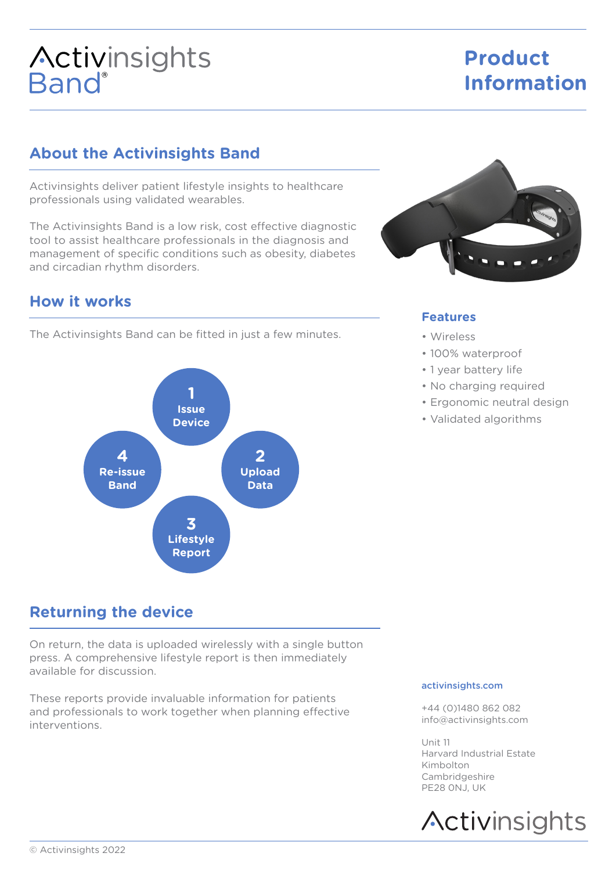# **Activinsights**<br>Band®

## **Product Information**

## **About the Activinsights Band**

Activinsights deliver patient lifestyle insights to healthcare professionals using validated wearables.

The Activinsights Band is a low risk, cost effective diagnostic tool to assist healthcare professionals in the diagnosis and management of specific conditions such as obesity, diabetes and circadian rhythm disorders.

## **How it works**

The Activinsights Band can be fitted in just a few minutes.



## **Returning the device**

On return, the data is uploaded wirelessly with a single button press. A comprehensive lifestyle report is then immediately available for discussion.

These reports provide invaluable information for patients and professionals to work together when planning effective interventions.



#### **Features**

- Wireless
- 100% waterproof
- 1 year battery life
- No charging required
- Ergonomic neutral design
- Validated algorithms

#### activinsights.com

+44 (0)1480 862 082 info@activinsights.com

Unit 11 Harvard Industrial Estate Kimbolton Cambridgeshire PE28 0NJ, UK